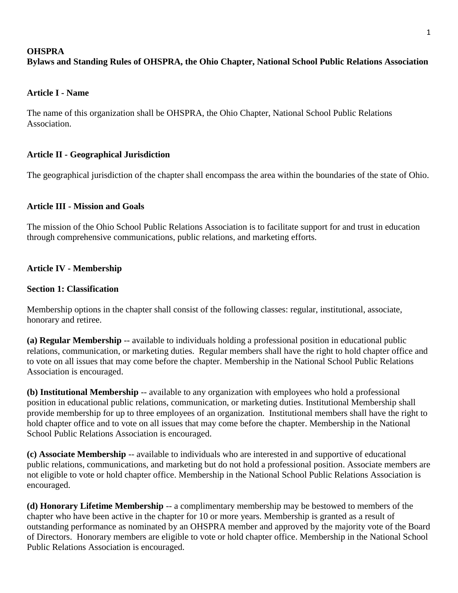# **OHSPRA Bylaws and Standing Rules of OHSPRA, the Ohio Chapter, National School Public Relations Association**

## **Article I - Name**

The name of this organization shall be OHSPRA, the Ohio Chapter, National School Public Relations Association.

# **Article II - Geographical Jurisdiction**

The geographical jurisdiction of the chapter shall encompass the area within the boundaries of the state of Ohio.

### **Article III - Mission and Goals**

The mission of the Ohio School Public Relations Association is to facilitate support for and trust in education through comprehensive communications, public relations, and marketing efforts.

# **Article IV - Membership**

### **Section 1: Classification**

Membership options in the chapter shall consist of the following classes: regular, institutional, associate, honorary and retiree.

**(a) Regular Membership** -- available to individuals holding a professional position in educational public relations, communication, or marketing duties. Regular members shall have the right to hold chapter office and to vote on all issues that may come before the chapter. Membership in the National School Public Relations Association is encouraged.

**(b) Institutional Membership** -- available to any organization with employees who hold a professional position in educational public relations, communication, or marketing duties. Institutional Membership shall provide membership for up to three employees of an organization. Institutional members shall have the right to hold chapter office and to vote on all issues that may come before the chapter. Membership in the National School Public Relations Association is encouraged.

**(c) Associate Membership** -- available to individuals who are interested in and supportive of educational public relations, communications, and marketing but do not hold a professional position. Associate members are not eligible to vote or hold chapter office. Membership in the National School Public Relations Association is encouraged.

**(d) Honorary Lifetime Membership** -- a complimentary membership may be bestowed to members of the chapter who have been active in the chapter for 10 or more years. Membership is granted as a result of outstanding performance as nominated by an OHSPRA member and approved by the majority vote of the Board of Directors. Honorary members are eligible to vote or hold chapter office. Membership in the National School Public Relations Association is encouraged.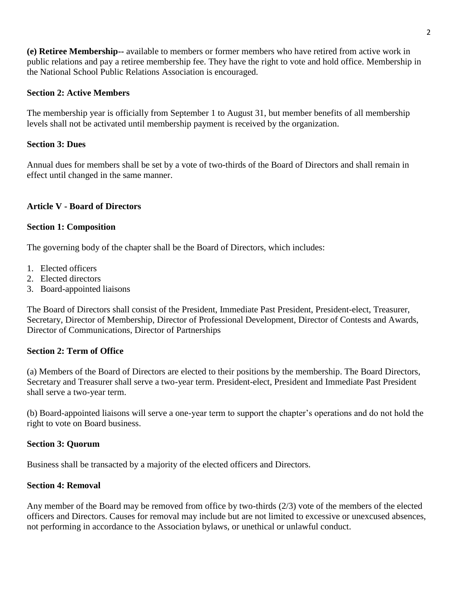**(e) Retiree Membership--** available to members or former members who have retired from active work in public relations and pay a retiree membership fee. They have the right to vote and hold office. Membership in the National School Public Relations Association is encouraged.

### **Section 2: Active Members**

The membership year is officially from September 1 to August 31, but member benefits of all membership levels shall not be activated until membership payment is received by the organization.

### **Section 3: Dues**

Annual dues for members shall be set by a vote of two-thirds of the Board of Directors and shall remain in effect until changed in the same manner.

# **Article V - Board of Directors**

### **Section 1: Composition**

The governing body of the chapter shall be the Board of Directors, which includes:

- 1. Elected officers
- 2. Elected directors
- 3. Board-appointed liaisons

The Board of Directors shall consist of the President, Immediate Past President, President-elect, Treasurer, Secretary, Director of Membership, Director of Professional Development, Director of Contests and Awards, Director of Communications, Director of Partnerships

# **Section 2: Term of Office**

(a) Members of the Board of Directors are elected to their positions by the membership. The Board Directors, Secretary and Treasurer shall serve a two-year term. President-elect, President and Immediate Past President shall serve a two-year term.

(b) Board-appointed liaisons will serve a one-year term to support the chapter's operations and do not hold the right to vote on Board business.

### **Section 3: Quorum**

Business shall be transacted by a majority of the elected officers and Directors.

### **Section 4: Removal**

Any member of the Board may be removed from office by two-thirds (2/3) vote of the members of the elected officers and Directors. Causes for removal may include but are not limited to excessive or unexcused absences, not performing in accordance to the Association bylaws, or unethical or unlawful conduct.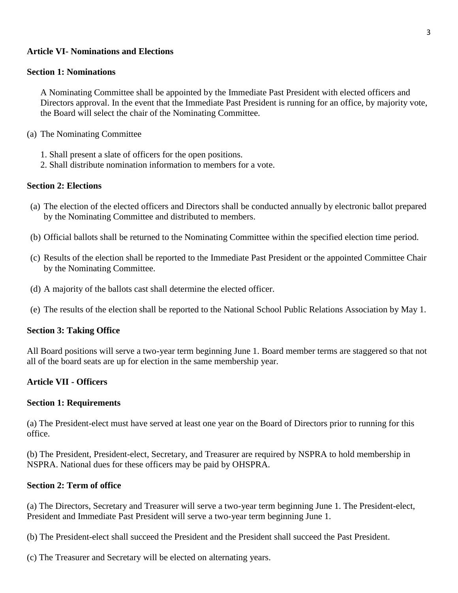### **Article VI- Nominations and Elections**

### **Section 1: Nominations**

A Nominating Committee shall be appointed by the Immediate Past President with elected officers and Directors approval. In the event that the Immediate Past President is running for an office, by majority vote, the Board will select the chair of the Nominating Committee.

- (a) The Nominating Committee
	- 1. Shall present a slate of officers for the open positions.
	- 2. Shall distribute nomination information to members for a vote.

### **Section 2: Elections**

- (a) The election of the elected officers and Directors shall be conducted annually by electronic ballot prepared by the Nominating Committee and distributed to members.
- (b) Official ballots shall be returned to the Nominating Committee within the specified election time period.
- (c) Results of the election shall be reported to the Immediate Past President or the appointed Committee Chair by the Nominating Committee.
- (d) A majority of the ballots cast shall determine the elected officer.
- (e) The results of the election shall be reported to the National School Public Relations Association by May 1.

#### **Section 3: Taking Office**

All Board positions will serve a two-year term beginning June 1. Board member terms are staggered so that not all of the board seats are up for election in the same membership year.

### **Article VII - Officers**

#### **Section 1: Requirements**

(a) The President-elect must have served at least one year on the Board of Directors prior to running for this office.

(b) The President, President-elect, Secretary, and Treasurer are required by NSPRA to hold membership in NSPRA. National dues for these officers may be paid by OHSPRA.

### **Section 2: Term of office**

(a) The Directors, Secretary and Treasurer will serve a two-year term beginning June 1. The President-elect, President and Immediate Past President will serve a two-year term beginning June 1.

(b) The President-elect shall succeed the President and the President shall succeed the Past President.

(c) The Treasurer and Secretary will be elected on alternating years.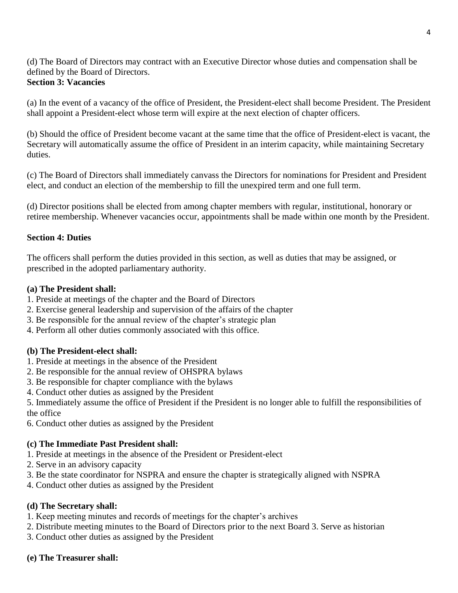(d) The Board of Directors may contract with an Executive Director whose duties and compensation shall be defined by the Board of Directors. **Section 3: Vacancies**

(a) In the event of a vacancy of the office of President, the President-elect shall become President. The President shall appoint a President-elect whose term will expire at the next election of chapter officers.

(b) Should the office of President become vacant at the same time that the office of President-elect is vacant, the Secretary will automatically assume the office of President in an interim capacity, while maintaining Secretary duties.

(c) The Board of Directors shall immediately canvass the Directors for nominations for President and President elect, and conduct an election of the membership to fill the unexpired term and one full term.

(d) Director positions shall be elected from among chapter members with regular, institutional, honorary or retiree membership. Whenever vacancies occur, appointments shall be made within one month by the President.

# **Section 4: Duties**

The officers shall perform the duties provided in this section, as well as duties that may be assigned, or prescribed in the adopted parliamentary authority.

# **(a) The President shall:**

- 1. Preside at meetings of the chapter and the Board of Directors
- 2. Exercise general leadership and supervision of the affairs of the chapter
- 3. Be responsible for the annual review of the chapter's strategic plan
- 4. Perform all other duties commonly associated with this office.

# **(b) The President-elect shall:**

- 1. Preside at meetings in the absence of the President
- 2. Be responsible for the annual review of OHSPRA bylaws
- 3. Be responsible for chapter compliance with the bylaws
- 4. Conduct other duties as assigned by the President

5. Immediately assume the office of President if the President is no longer able to fulfill the responsibilities of the office

6. Conduct other duties as assigned by the President

# **(c) The Immediate Past President shall:**

- 1. Preside at meetings in the absence of the President or President-elect
- 2. Serve in an advisory capacity
- 3. Be the state coordinator for NSPRA and ensure the chapter is strategically aligned with NSPRA
- 4. Conduct other duties as assigned by the President

# **(d) The Secretary shall:**

- 1. Keep meeting minutes and records of meetings for the chapter's archives
- 2. Distribute meeting minutes to the Board of Directors prior to the next Board 3. Serve as historian
- 3. Conduct other duties as assigned by the President

# **(e) The Treasurer shall:**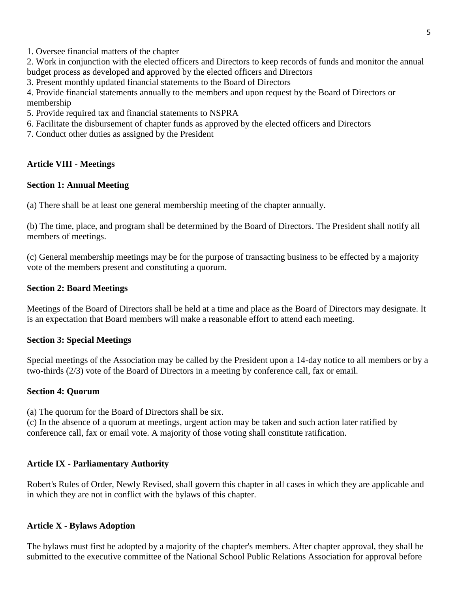1. Oversee financial matters of the chapter

2. Work in conjunction with the elected officers and Directors to keep records of funds and monitor the annual budget process as developed and approved by the elected officers and Directors

3. Present monthly updated financial statements to the Board of Directors

4. Provide financial statements annually to the members and upon request by the Board of Directors or membership

5. Provide required tax and financial statements to NSPRA

6. Facilitate the disbursement of chapter funds as approved by the elected officers and Directors

7. Conduct other duties as assigned by the President

# **Article VIII - Meetings**

### **Section 1: Annual Meeting**

(a) There shall be at least one general membership meeting of the chapter annually.

(b) The time, place, and program shall be determined by the Board of Directors. The President shall notify all members of meetings.

(c) General membership meetings may be for the purpose of transacting business to be effected by a majority vote of the members present and constituting a quorum.

### **Section 2: Board Meetings**

Meetings of the Board of Directors shall be held at a time and place as the Board of Directors may designate. It is an expectation that Board members will make a reasonable effort to attend each meeting.

# **Section 3: Special Meetings**

Special meetings of the Association may be called by the President upon a 14-day notice to all members or by a two-thirds (2/3) vote of the Board of Directors in a meeting by conference call, fax or email.

### **Section 4: Quorum**

(a) The quorum for the Board of Directors shall be six.

(c) In the absence of a quorum at meetings, urgent action may be taken and such action later ratified by conference call, fax or email vote. A majority of those voting shall constitute ratification.

# **Article IX - Parliamentary Authority**

Robert's Rules of Order, Newly Revised, shall govern this chapter in all cases in which they are applicable and in which they are not in conflict with the bylaws of this chapter.

### **Article X - Bylaws Adoption**

The bylaws must first be adopted by a majority of the chapter's members. After chapter approval, they shall be submitted to the executive committee of the National School Public Relations Association for approval before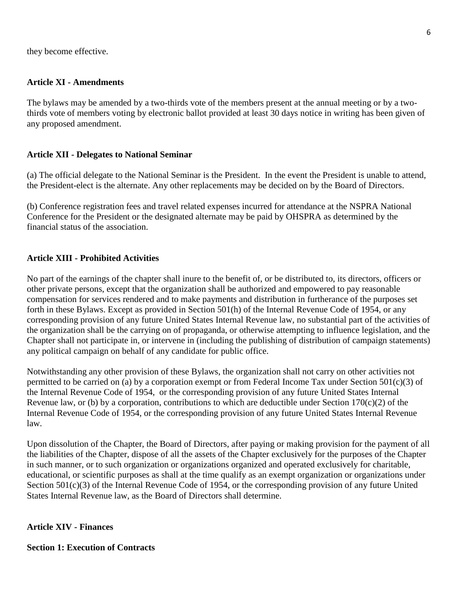they become effective.

### **Article XI - Amendments**

The bylaws may be amended by a two-thirds vote of the members present at the annual meeting or by a twothirds vote of members voting by electronic ballot provided at least 30 days notice in writing has been given of any proposed amendment.

### **Article XII - Delegates to National Seminar**

(a) The official delegate to the National Seminar is the President. In the event the President is unable to attend, the President-elect is the alternate. Any other replacements may be decided on by the Board of Directors.

(b) Conference registration fees and travel related expenses incurred for attendance at the NSPRA National Conference for the President or the designated alternate may be paid by OHSPRA as determined by the financial status of the association.

### **Article XIII - Prohibited Activities**

No part of the earnings of the chapter shall inure to the benefit of, or be distributed to, its directors, officers or other private persons, except that the organization shall be authorized and empowered to pay reasonable compensation for services rendered and to make payments and distribution in furtherance of the purposes set forth in these Bylaws. Except as provided in Section 501(h) of the Internal Revenue Code of 1954, or any corresponding provision of any future United States Internal Revenue law, no substantial part of the activities of the organization shall be the carrying on of propaganda, or otherwise attempting to influence legislation, and the Chapter shall not participate in, or intervene in (including the publishing of distribution of campaign statements) any political campaign on behalf of any candidate for public office.

Notwithstanding any other provision of these Bylaws, the organization shall not carry on other activities not permitted to be carried on (a) by a corporation exempt or from Federal Income Tax under Section 501(c)(3) of the Internal Revenue Code of 1954, or the corresponding provision of any future United States Internal Revenue law, or (b) by a corporation, contributions to which are deductible under Section  $170(c)(2)$  of the Internal Revenue Code of 1954, or the corresponding provision of any future United States Internal Revenue law.

Upon dissolution of the Chapter, the Board of Directors, after paying or making provision for the payment of all the liabilities of the Chapter, dispose of all the assets of the Chapter exclusively for the purposes of the Chapter in such manner, or to such organization or organizations organized and operated exclusively for charitable, educational, or scientific purposes as shall at the time qualify as an exempt organization or organizations under Section 501(c)(3) of the Internal Revenue Code of 1954, or the corresponding provision of any future United States Internal Revenue law, as the Board of Directors shall determine.

### **Article XIV - Finances**

### **Section 1: Execution of Contracts**